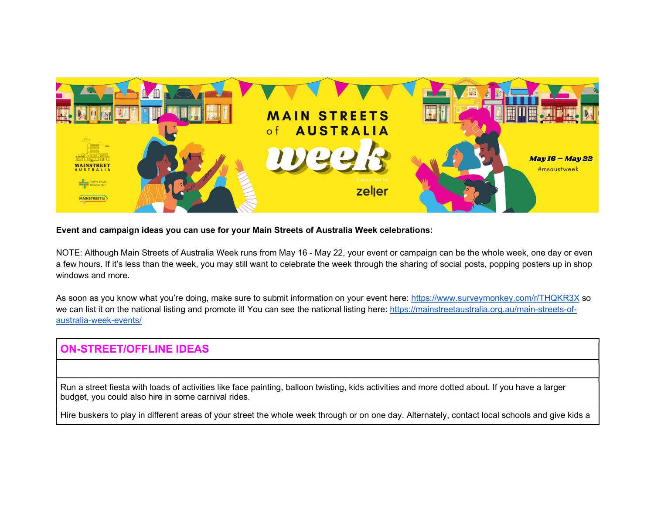

Event and campaign ideas you can use for your Main Streets of Australia Week celebrations:

NOTE: Although Main Streets of Australia Week runs from May 16 - May 22, your event or campaign can be the whole week, one day or even a few hours. If it's less than the week, you may still want to celebrate the week through the sharing of social posts, popping posters up in shop windows and more.

As soon as you know what you're doing, make sure to submit information on your event here: https://www.surveymonkey.com/r/THQKR3X so we can list it on the national listing and promote it! You can see the national listing here: https://mainstreetaustralia.org.au/main-streets-ofaustralia-week-events/

## ON-STREET/OFFLINE IDEAS

Run a street fiesta with loads of activities like face painting, balloon twisting, kids activities and more dotted about. If you have a larger budget, you could also hire in some carnival rides.

Hire buskers to play in different areas of your street the whole week through or on one day. Alternately, contact local schools and give kids a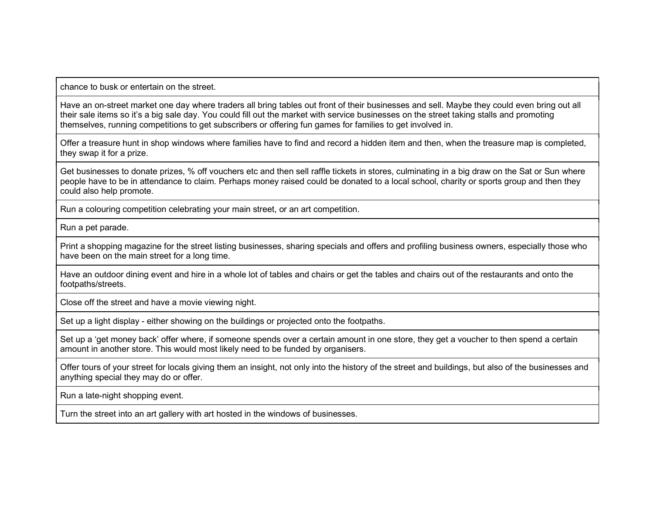chance to busk or entertain on the street.

Have an on-street market one day where traders all bring tables out front of their businesses and sell. Maybe they could even bring out all their sale items so it's a big sale day. You could fill out the market with service businesses on the street taking stalls and promoting themselves, running competitions to get subscribers or offering fun games for families to get involved in.

Offer a treasure hunt in shop windows where families have to find and record a hidden item and then, when the treasure map is completed, they swap it for a prize.

Get businesses to donate prizes, % off vouchers etc and then sell raffle tickets in stores, culminating in a big draw on the Sat or Sun where people have to be in attendance to claim. Perhaps money raised could be donated to a local school, charity or sports group and then they could also help promote.

Run a colouring competition celebrating your main street, or an art competition.

Run a pet parade.

Print a shopping magazine for the street listing businesses, sharing specials and offers and profiling business owners, especially those who have been on the main street for a long time.

Have an outdoor dining event and hire in a whole lot of tables and chairs or get the tables and chairs out of the restaurants and onto the footpaths/streets.

Close off the street and have a movie viewing night.

Set up a light display - either showing on the buildings or projected onto the footpaths.

Set up a 'get money back' offer where, if someone spends over a certain amount in one store, they get a voucher to then spend a certain amount in another store. This would most likely need to be funded by organisers.

Offer tours of your street for locals giving them an insight, not only into the history of the street and buildings, but also of the businesses and anything special they may do or offer.

Run a late-night shopping event.

Turn the street into an art gallery with art hosted in the windows of businesses.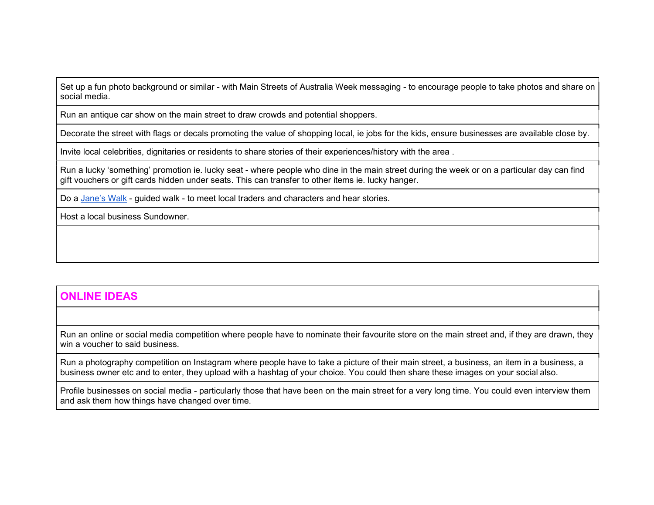Set up a fun photo background or similar - with Main Streets of Australia Week messaging - to encourage people to take photos and share on social media.

Run an antique car show on the main street to draw crowds and potential shoppers.

Decorate the street with flags or decals promoting the value of shopping local, ie jobs for the kids, ensure businesses are available close by.

Invite local celebrities, dignitaries or residents to share stories of their experiences/history with the area .

Run a lucky 'something' promotion ie. lucky seat - where people who dine in the main street during the week or on a particular day can find gift vouchers or gift cards hidden under seats. This can transfer to other items ie. lucky hanger.

Do a Jane's Walk - guided walk - to meet local traders and characters and hear stories.

Host a local business Sundowner.

## ONLINE IDEAS

Run an online or social media competition where people have to nominate their favourite store on the main street and, if they are drawn, they win a voucher to said business.

Run a photography competition on Instagram where people have to take a picture of their main street, a business, an item in a business, a business owner etc and to enter, they upload with a hashtag of your choice. You could then share these images on your social also.

Profile businesses on social media - particularly those that have been on the main street for a very long time. You could even interview them and ask them how things have changed over time.